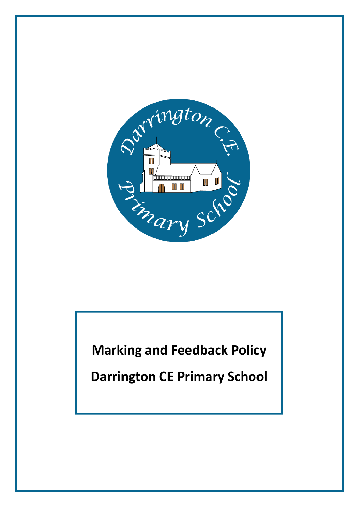

**Marking and Feedback Policy**

**Darrington CE Primary School**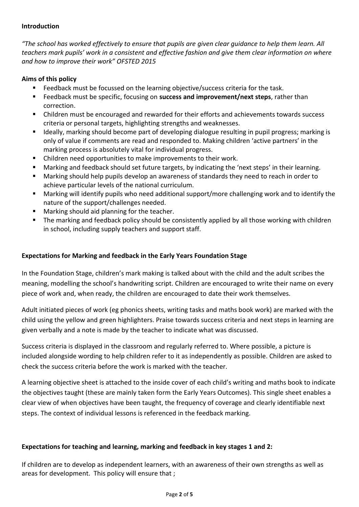### **Introduction**

*"The school has worked effectively to ensure that pupils are given clear guidance to help them learn. All teachers mark pupils' work in a consistent and effective fashion and give them clear information on where and how to improve their work" OFSTED 2015* 

### **Aims of this policy**

- **Feedback must be focussed on the learning objective/success criteria for the task.**
- Feedback must be specific, focusing on **success and improvement/next steps**, rather than correction.
- Children must be encouraged and rewarded for their efforts and achievements towards success criteria or personal targets, highlighting strengths and weaknesses.
- **If ideally, marking should become part of developing dialogue resulting in pupil progress; marking is** only of value if comments are read and responded to. Making children 'active partners' in the marking process is absolutely vital for individual progress.
- Children need opportunities to make improvements to their work.
- Marking and feedback should set future targets, by indicating the 'next steps' in their learning.
- Marking should help pupils develop an awareness of standards they need to reach in order to achieve particular levels of the national curriculum.
- Marking will identify pupils who need additional support/more challenging work and to identify the nature of the support/challenges needed.
- Marking should aid planning for the teacher.
- **The marking and feedback policy should be consistently applied by all those working with children** in school, including supply teachers and support staff.

# **Expectations for Marking and feedback in the Early Years Foundation Stage**

In the Foundation Stage, children's mark making is talked about with the child and the adult scribes the meaning, modelling the school's handwriting script. Children are encouraged to write their name on every piece of work and, when ready, the children are encouraged to date their work themselves.

Adult initiated pieces of work (eg phonics sheets, writing tasks and maths book work) are marked with the child using the yellow and green highlighters. Praise towards success criteria and next steps in learning are given verbally and a note is made by the teacher to indicate what was discussed.

Success criteria is displayed in the classroom and regularly referred to. Where possible, a picture is included alongside wording to help children refer to it as independently as possible. Children are asked to check the success criteria before the work is marked with the teacher.

A learning objective sheet is attached to the inside cover of each child's writing and maths book to indicate the objectives taught (these are mainly taken form the Early Years Outcomes). This single sheet enables a clear view of when objectives have been taught, the frequency of coverage and clearly identifiable next steps. The context of individual lessons is referenced in the feedback marking.

# **Expectations for teaching and learning, marking and feedback in key stages 1 and 2:**

If children are to develop as independent learners, with an awareness of their own strengths as well as areas for development. This policy will ensure that ;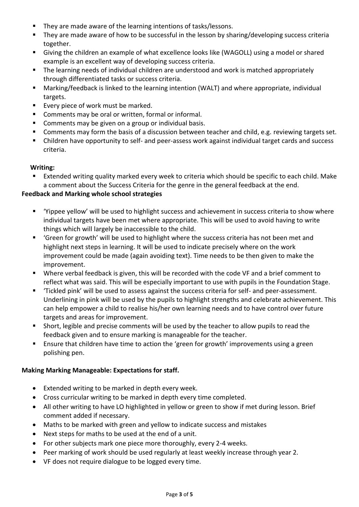- They are made aware of the learning intentions of tasks/lessons.
- **They are made aware of how to be successful in the lesson by sharing/developing success criteria** together.
- Giving the children an example of what excellence looks like (WAGOLL) using a model or shared example is an excellent way of developing success criteria.
- The learning needs of individual children are understood and work is matched appropriately through differentiated tasks or success criteria.
- Marking/feedback is linked to the learning intention (WALT) and where appropriate, individual targets.
- Every piece of work must be marked.
- **Comments may be oral or written, formal or informal.**
- **Comments may be given on a group or individual basis.**
- **Comments may form the basis of a discussion between teacher and child, e.g. reviewing targets set.**
- Children have opportunity to self- and peer-assess work against individual target cards and success criteria.

### **Writing:**

Extended writing quality marked every week to criteria which should be specific to each child. Make a comment about the Success Criteria for the genre in the general feedback at the end.

# **Feedback and Marking whole school strategies**

- 'Yippee yellow' will be used to highlight success and achievement in success criteria to show where individual targets have been met where appropriate. This will be used to avoid having to write things which will largely be inaccessible to the child.
- 'Green for growth' will be used to highlight where the success criteria has not been met and highlight next steps in learning. It will be used to indicate precisely where on the work improvement could be made (again avoiding text). Time needs to be then given to make the improvement.
- Where verbal feedback is given, this will be recorded with the code VF and a brief comment to reflect what was said. This will be especially important to use with pupils in the Foundation Stage.
- 'Tickled pink' will be used to assess against the success criteria for self- and peer-assessment. Underlining in pink will be used by the pupils to highlight strengths and celebrate achievement. This can help empower a child to realise his/her own learning needs and to have control over future targets and areas for improvement.
- Short, legible and precise comments will be used by the teacher to allow pupils to read the feedback given and to ensure marking is manageable for the teacher.
- **Ensure that children have time to action the 'green for growth' improvements using a green** polishing pen.

#### **Making Marking Manageable: Expectations for staff.**

- Extended writing to be marked in depth every week.
- Cross curricular writing to be marked in depth every time completed.
- All other writing to have LO highlighted in yellow or green to show if met during lesson. Brief comment added if necessary.
- Maths to be marked with green and yellow to indicate success and mistakes
- Next steps for maths to be used at the end of a unit.
- For other subjects mark one piece more thoroughly, every 2-4 weeks.
- Peer marking of work should be used regularly at least weekly increase through year 2.
- VF does not require dialogue to be logged every time.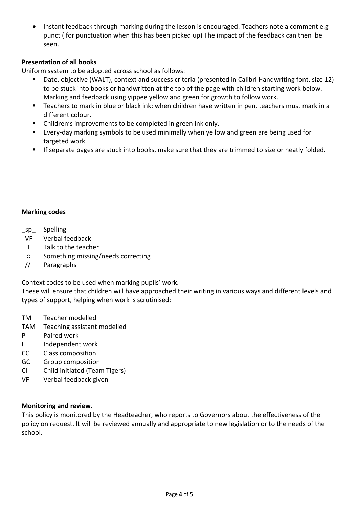• Instant feedback through marking during the lesson is encouraged. Teachers note a comment e.g punct ( for punctuation when this has been picked up) The impact of the feedback can then be seen.

# **Presentation of all books**

Uniform system to be adopted across school as follows:

- Date, objective (WALT), context and success criteria (presented in Calibri Handwriting font, size 12) to be stuck into books or handwritten at the top of the page with children starting work below. Marking and feedback using yippee yellow and green for growth to follow work.
- Teachers to mark in blue or black ink; when children have written in pen, teachers must mark in a different colour.
- Children's improvements to be completed in green ink only.
- Every-day marking symbols to be used minimally when yellow and green are being used for targeted work.
- **If separate pages are stuck into books, make sure that they are trimmed to size or neatly folded.**

#### **Marking codes**

- sp\_ Spelling
- VF Verbal feedback
- T Talk to the teacher
- Something missing/needs correcting
- // Paragraphs

Context codes to be used when marking pupils' work.

These will ensure that children will have approached their writing in various ways and different levels and types of support, helping when work is scrutinised:

- TM Teacher modelled
- TAM Teaching assistant modelled
- P Paired work
- I Independent work
- CC Class composition
- GC Group composition
- CI Child initiated (Team Tigers)
- VF Verbal feedback given

#### **Monitoring and review.**

This policy is monitored by the Headteacher, who reports to Governors about the effectiveness of the policy on request. It will be reviewed annually and appropriate to new legislation or to the needs of the school.